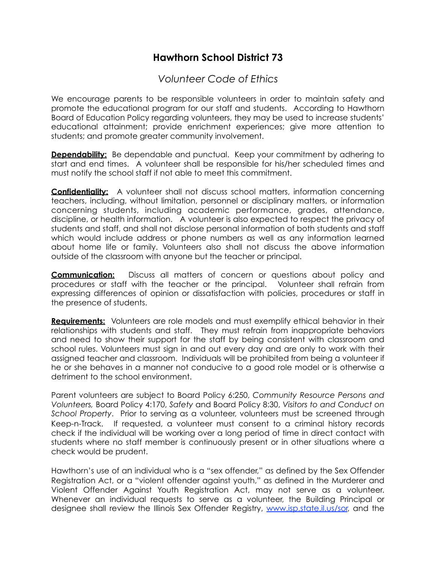## **Hawthorn School District 73**

## *Volunteer Code of Ethics*

We encourage parents to be responsible volunteers in order to maintain safety and promote the educational program for our staff and students. According to Hawthorn Board of Education Policy regarding volunteers, they may be used to increase students' educational attainment; provide enrichment experiences; give more attention to students; and promote greater community involvement.

**Dependability:** Be dependable and punctual. Keep your commitment by adhering to start and end times. A volunteer shall be responsible for his/her scheduled times and must notify the school staff if not able to meet this commitment.

**Confidentiality:** A volunteer shall not discuss school matters, information concerning teachers, including, without limitation, personnel or disciplinary matters, or information concerning students, including academic performance, grades, attendance, discipline, or health information. A volunteer is also expected to respect the privacy of students and staff, and shall not disclose personal information of both students and staff which would include address or phone numbers as well as any information learned about home life or family. Volunteers also shall not discuss the above information outside of the classroom with anyone but the teacher or principal.

**Communication:** Discuss all matters of concern or questions about policy and procedures or staff with the teacher or the principal. Volunteer shall refrain from expressing differences of opinion or dissatisfaction with policies, procedures or staff in the presence of students.

**Requirements:** Volunteers are role models and must exemplify ethical behavior in their relationships with students and staff. They must refrain from inappropriate behaviors and need to show their support for the staff by being consistent with classroom and school rules. Volunteers must sign in and out every day and are only to work with their assigned teacher and classroom. Individuals will be prohibited from being a volunteer if he or she behaves in a manner not conducive to a good role model or is otherwise a detriment to the school environment.

Parent volunteers are subject to Board Policy 6:250, *Community Resource Persons and Volunteers,* Board Policy 4:170, *Safety* and Board Policy 8:30, *Visitors to and Conduct on School Property.* Prior to serving as a volunteer, volunteers must be screened through Keep-n-Track. If requested, a volunteer must consent to a criminal history records check if the individual will be working over a long period of time in direct contact with students where no staff member is continuously present or in other situations where a check would be prudent.

Hawthorn's use of an individual who is a "sex offender," as defined by the Sex Offender Registration Act, or a "violent offender against youth," as defined in the Murderer and Violent Offender Against Youth Registration Act, may not serve as a volunteer. Whenever an individual requests to serve as a volunteer, the Building Principal or designee shall review the Illinois Sex Offender Registry, [www.isp.state.il.us/sor](http://www.isp.state.il.us/sor), and the